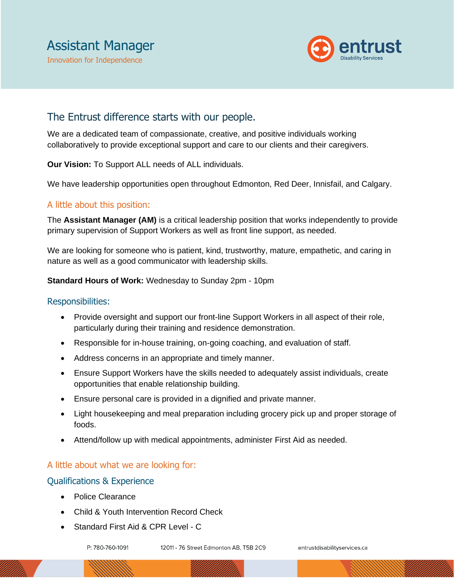

## The Entrust difference starts with our people.

We are a dedicated team of compassionate, creative, and positive individuals working collaboratively to provide exceptional support and care to our clients and their caregivers.

**Our Vision:** To Support ALL needs of ALL individuals.

We have leadership opportunities open throughout Edmonton, Red Deer, Innisfail, and Calgary.

## A little about this position:

The **Assistant Manager (AM)** is a critical leadership position that works independently to provide primary supervision of Support Workers as well as front line support, as needed.

We are looking for someone who is patient, kind, trustworthy, mature, empathetic, and caring in nature as well as a good communicator with leadership skills.

**Standard Hours of Work:** Wednesday to Sunday 2pm - 10pm

#### Responsibilities:

- Provide oversight and support our front-line Support Workers in all aspect of their role, particularly during their training and residence demonstration.
- Responsible for in-house training, on-going coaching, and evaluation of staff.
- Address concerns in an appropriate and timely manner.
- Ensure Support Workers have the skills needed to adequately assist individuals, create opportunities that enable relationship building.
- Ensure personal care is provided in a dignified and private manner.
- Light housekeeping and meal preparation including grocery pick up and proper storage of foods.
- Attend/follow up with medical appointments, administer First Aid as needed.

## A little about what we are looking for:

#### Qualifications & Experience

- Police Clearance
- Child & Youth Intervention Record Check
- Standard First Aid & CPR Level C

P: 780-760-1091

12011 - 76 Street Edmonton AB, T5B 2C9

entrustdisabilityservices.ca